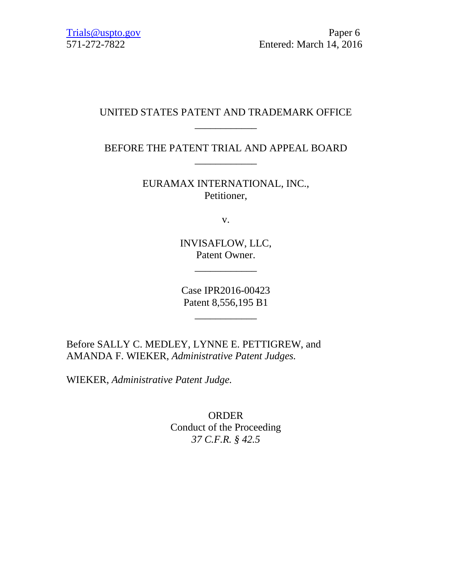## UNITED STATES PATENT AND TRADEMARK OFFICE \_\_\_\_\_\_\_\_\_\_\_\_

BEFORE THE PATENT TRIAL AND APPEAL BOARD \_\_\_\_\_\_\_\_\_\_\_\_

> EURAMAX INTERNATIONAL, INC., Petitioner,

> > v.

INVISAFLOW, LLC, Patent Owner.

\_\_\_\_\_\_\_\_\_\_\_\_

Case IPR2016-00423 Patent 8,556,195 B1

\_\_\_\_\_\_\_\_\_\_\_\_

Before SALLY C. MEDLEY, LYNNE E. PETTIGREW, and AMANDA F. WIEKER, *Administrative Patent Judges.*

WIEKER, *Administrative Patent Judge.*

ORDER Conduct of the Proceeding *37 C.F.R. § 42.5*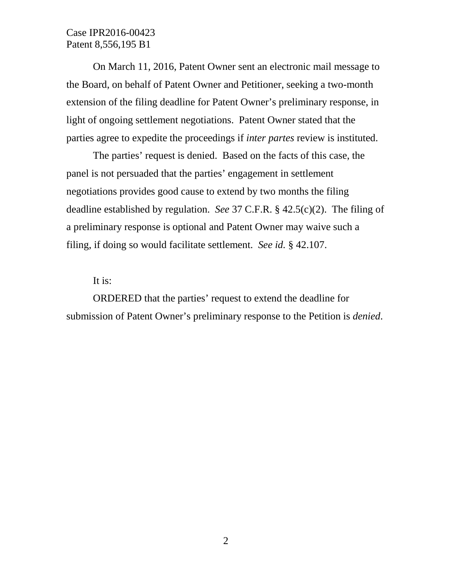Case IPR2016-00423 Patent 8,556,195 B1

On March 11, 2016, Patent Owner sent an electronic mail message to the Board, on behalf of Patent Owner and Petitioner, seeking a two-month extension of the filing deadline for Patent Owner's preliminary response, in light of ongoing settlement negotiations. Patent Owner stated that the parties agree to expedite the proceedings if *inter partes* review is instituted.

The parties' request is denied. Based on the facts of this case, the panel is not persuaded that the parties' engagement in settlement negotiations provides good cause to extend by two months the filing deadline established by regulation. *See* 37 C.F.R. § 42.5(c)(2). The filing of a preliminary response is optional and Patent Owner may waive such a filing, if doing so would facilitate settlement. *See id.* § 42.107.

It is:

ORDERED that the parties' request to extend the deadline for submission of Patent Owner's preliminary response to the Petition is *denied*.